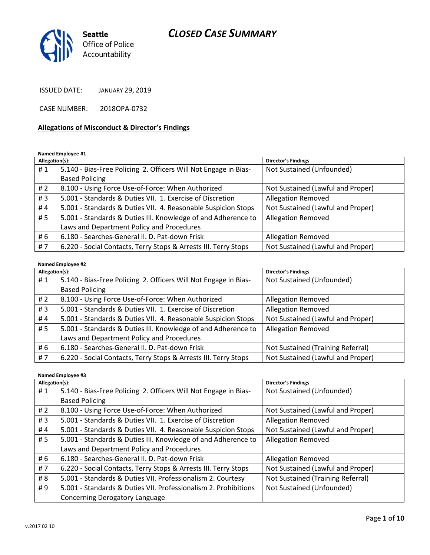

ISSUED DATE: JANUARY 29, 2019

CASE NUMBER: 2018OPA-0732

#### Allegations of Misconduct & Director's Findings

Named Employee #1

| Allegation(s): |                                                                 | <b>Director's Findings</b>        |
|----------------|-----------------------------------------------------------------|-----------------------------------|
| #1             | 5.140 - Bias-Free Policing 2. Officers Will Not Engage in Bias- | Not Sustained (Unfounded)         |
|                | <b>Based Policing</b>                                           |                                   |
| #2             | 8.100 - Using Force Use-of-Force: When Authorized               | Not Sustained (Lawful and Proper) |
| #3             | 5.001 - Standards & Duties VII. 1. Exercise of Discretion       | <b>Allegation Removed</b>         |
| #4             | 5.001 - Standards & Duties VII. 4. Reasonable Suspicion Stops   | Not Sustained (Lawful and Proper) |
| #5             | 5.001 - Standards & Duties III. Knowledge of and Adherence to   | <b>Allegation Removed</b>         |
|                | Laws and Department Policy and Procedures                       |                                   |
| # 6            | 6.180 - Searches-General II. D. Pat-down Frisk                  | <b>Allegation Removed</b>         |
| #7             | 6.220 - Social Contacts, Terry Stops & Arrests III. Terry Stops | Not Sustained (Lawful and Proper) |

#### Named Employee #2

| Allegation(s): |                                                                 | <b>Director's Findings</b>        |
|----------------|-----------------------------------------------------------------|-----------------------------------|
| #1             | 5.140 - Bias-Free Policing 2. Officers Will Not Engage in Bias- | Not Sustained (Unfounded)         |
|                | <b>Based Policing</b>                                           |                                   |
| #2             | 8.100 - Using Force Use-of-Force: When Authorized               | <b>Allegation Removed</b>         |
| #3             | 5.001 - Standards & Duties VII. 1. Exercise of Discretion       | <b>Allegation Removed</b>         |
| #4             | 5.001 - Standards & Duties VII. 4. Reasonable Suspicion Stops   | Not Sustained (Lawful and Proper) |
| #5             | 5.001 - Standards & Duties III. Knowledge of and Adherence to   | <b>Allegation Removed</b>         |
|                | Laws and Department Policy and Procedures                       |                                   |
| # 6            | 6.180 - Searches-General II. D. Pat-down Frisk                  | Not Sustained (Training Referral) |
| #7             | 6.220 - Social Contacts, Terry Stops & Arrests III. Terry Stops | Not Sustained (Lawful and Proper) |

#### Named Employee #3

| Allegation(s): |                                                                 | <b>Director's Findings</b>        |
|----------------|-----------------------------------------------------------------|-----------------------------------|
| #1             | 5.140 - Bias-Free Policing 2. Officers Will Not Engage in Bias- | Not Sustained (Unfounded)         |
|                | <b>Based Policing</b>                                           |                                   |
| #2             | 8.100 - Using Force Use-of-Force: When Authorized               | Not Sustained (Lawful and Proper) |
| #3             | 5.001 - Standards & Duties VII. 1. Exercise of Discretion       | <b>Allegation Removed</b>         |
| #4             | 5.001 - Standards & Duties VII. 4. Reasonable Suspicion Stops   | Not Sustained (Lawful and Proper) |
| #5             | 5.001 - Standards & Duties III. Knowledge of and Adherence to   | <b>Allegation Removed</b>         |
|                | Laws and Department Policy and Procedures                       |                                   |
| # 6            | 6.180 - Searches-General II. D. Pat-down Frisk                  | <b>Allegation Removed</b>         |
| #7             | 6.220 - Social Contacts, Terry Stops & Arrests III. Terry Stops | Not Sustained (Lawful and Proper) |
| # 8            | 5.001 - Standards & Duties VII. Professionalism 2. Courtesy     | Not Sustained (Training Referral) |
| #9             | 5.001 - Standards & Duties VII. Professionalism 2. Prohibitions | Not Sustained (Unfounded)         |
|                | <b>Concerning Derogatory Language</b>                           |                                   |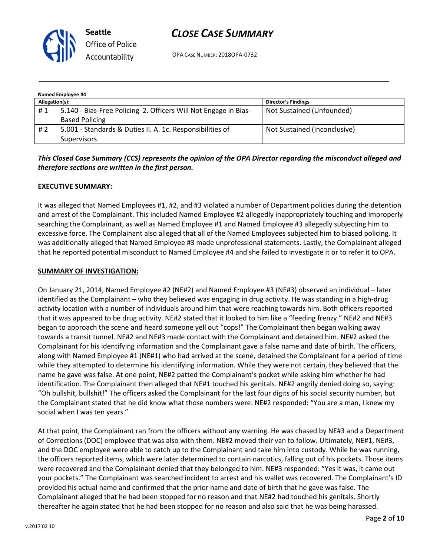

OPA CASE NUMBER: 2018OPA-0732

| Named Employee #4 |                                                                 |                              |  |  |
|-------------------|-----------------------------------------------------------------|------------------------------|--|--|
| Allegation(s):    |                                                                 | <b>Director's Findings</b>   |  |  |
| #1                | 5.140 - Bias-Free Policing 2. Officers Will Not Engage in Bias- | Not Sustained (Unfounded)    |  |  |
|                   | <b>Based Policing</b>                                           |                              |  |  |
| # 2               | 5.001 - Standards & Duties II. A. 1c. Responsibilities of       | Not Sustained (Inconclusive) |  |  |
|                   | <b>Supervisors</b>                                              |                              |  |  |

## This Closed Case Summary (CCS) represents the opinion of the OPA Director regarding the misconduct alleged and therefore sections are written in the first person.

### EXECUTIVE SUMMARY:

It was alleged that Named Employees #1, #2, and #3 violated a number of Department policies during the detention and arrest of the Complainant. This included Named Employee #2 allegedly inappropriately touching and improperly searching the Complainant, as well as Named Employee #1 and Named Employee #3 allegedly subjecting him to excessive force. The Complainant also alleged that all of the Named Employees subjected him to biased policing. It was additionally alleged that Named Employee #3 made unprofessional statements. Lastly, the Complainant alleged that he reported potential misconduct to Named Employee #4 and she failed to investigate it or to refer it to OPA.

#### SUMMARY OF INVESTIGATION:

On January 21, 2014, Named Employee #2 (NE#2) and Named Employee #3 (NE#3) observed an individual – later identified as the Complainant – who they believed was engaging in drug activity. He was standing in a high-drug activity location with a number of individuals around him that were reaching towards him. Both officers reported that it was appeared to be drug activity. NE#2 stated that it looked to him like a "feeding frenzy." NE#2 and NE#3 began to approach the scene and heard someone yell out "cops!" The Complainant then began walking away towards a transit tunnel. NE#2 and NE#3 made contact with the Complainant and detained him. NE#2 asked the Complainant for his identifying information and the Complainant gave a false name and date of birth. The officers, along with Named Employee #1 (NE#1) who had arrived at the scene, detained the Complainant for a period of time while they attempted to determine his identifying information. While they were not certain, they believed that the name he gave was false. At one point, NE#2 patted the Complainant's pocket while asking him whether he had identification. The Complainant then alleged that NE#1 touched his genitals. NE#2 angrily denied doing so, saying: "Oh bullshit, bullshit!" The officers asked the Complainant for the last four digits of his social security number, but the Complainant stated that he did know what those numbers were. NE#2 responded: "You are a man, I knew my social when I was ten years."

At that point, the Complainant ran from the officers without any warning. He was chased by NE#3 and a Department of Corrections (DOC) employee that was also with them. NE#2 moved their van to follow. Ultimately, NE#1, NE#3, and the DOC employee were able to catch up to the Complainant and take him into custody. While he was running, the officers reported items, which were later determined to contain narcotics, falling out of his pockets. Those items were recovered and the Complainant denied that they belonged to him. NE#3 responded: "Yes it was, it came out your pockets." The Complainant was searched incident to arrest and his wallet was recovered. The Complainant's ID provided his actual name and confirmed that the prior name and date of birth that he gave was false. The Complainant alleged that he had been stopped for no reason and that NE#2 had touched his genitals. Shortly thereafter he again stated that he had been stopped for no reason and also said that he was being harassed.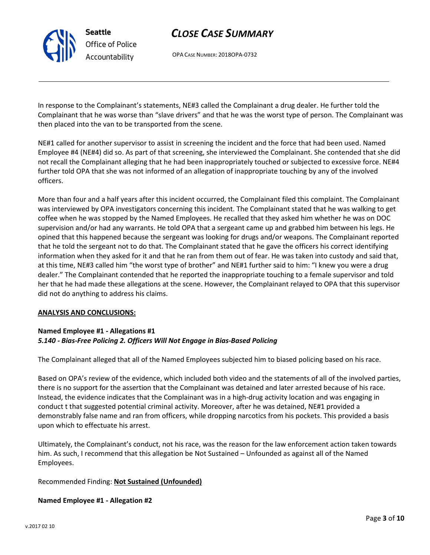OPA CASE NUMBER: 2018OPA-0732

In response to the Complainant's statements, NE#3 called the Complainant a drug dealer. He further told the Complainant that he was worse than "slave drivers" and that he was the worst type of person. The Complainant was then placed into the van to be transported from the scene.

NE#1 called for another supervisor to assist in screening the incident and the force that had been used. Named Employee #4 (NE#4) did so. As part of that screening, she interviewed the Complainant. She contended that she did not recall the Complainant alleging that he had been inappropriately touched or subjected to excessive force. NE#4 further told OPA that she was not informed of an allegation of inappropriate touching by any of the involved officers.

More than four and a half years after this incident occurred, the Complainant filed this complaint. The Complainant was interviewed by OPA investigators concerning this incident. The Complainant stated that he was walking to get coffee when he was stopped by the Named Employees. He recalled that they asked him whether he was on DOC supervision and/or had any warrants. He told OPA that a sergeant came up and grabbed him between his legs. He opined that this happened because the sergeant was looking for drugs and/or weapons. The Complainant reported that he told the sergeant not to do that. The Complainant stated that he gave the officers his correct identifying information when they asked for it and that he ran from them out of fear. He was taken into custody and said that, at this time, NE#3 called him "the worst type of brother" and NE#1 further said to him: "I knew you were a drug dealer." The Complainant contended that he reported the inappropriate touching to a female supervisor and told her that he had made these allegations at the scene. However, the Complainant relayed to OPA that this supervisor did not do anything to address his claims.

#### ANALYSIS AND CONCLUSIONS:

## Named Employee #1 - Allegations #1 5.140 - Bias-Free Policing 2. Officers Will Not Engage in Bias-Based Policing

The Complainant alleged that all of the Named Employees subjected him to biased policing based on his race.

Based on OPA's review of the evidence, which included both video and the statements of all of the involved parties, there is no support for the assertion that the Complainant was detained and later arrested because of his race. Instead, the evidence indicates that the Complainant was in a high-drug activity location and was engaging in conduct t that suggested potential criminal activity. Moreover, after he was detained, NE#1 provided a demonstrably false name and ran from officers, while dropping narcotics from his pockets. This provided a basis upon which to effectuate his arrest.

Ultimately, the Complainant's conduct, not his race, was the reason for the law enforcement action taken towards him. As such, I recommend that this allegation be Not Sustained – Unfounded as against all of the Named Employees.

## Recommended Finding: Not Sustained (Unfounded)

#### Named Employee #1 - Allegation #2



Seattle Office of Police Accountability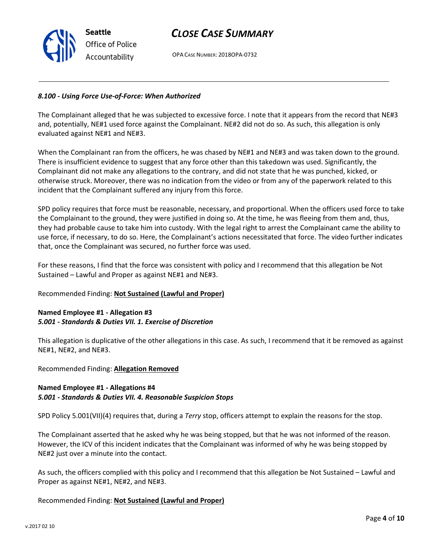

OPA CASE NUMBER: 2018OPA-0732

#### 8.100 - Using Force Use-of-Force: When Authorized

The Complainant alleged that he was subjected to excessive force. I note that it appears from the record that NE#3 and, potentially, NE#1 used force against the Complainant. NE#2 did not do so. As such, this allegation is only evaluated against NE#1 and NE#3.

When the Complainant ran from the officers, he was chased by NE#1 and NE#3 and was taken down to the ground. There is insufficient evidence to suggest that any force other than this takedown was used. Significantly, the Complainant did not make any allegations to the contrary, and did not state that he was punched, kicked, or otherwise struck. Moreover, there was no indication from the video or from any of the paperwork related to this incident that the Complainant suffered any injury from this force.

SPD policy requires that force must be reasonable, necessary, and proportional. When the officers used force to take the Complainant to the ground, they were justified in doing so. At the time, he was fleeing from them and, thus, they had probable cause to take him into custody. With the legal right to arrest the Complainant came the ability to use force, if necessary, to do so. Here, the Complainant's actions necessitated that force. The video further indicates that, once the Complainant was secured, no further force was used.

For these reasons, I find that the force was consistent with policy and I recommend that this allegation be Not Sustained – Lawful and Proper as against NE#1 and NE#3.

#### Recommended Finding: Not Sustained (Lawful and Proper)

### Named Employee #1 - Allegation #3 5.001 - Standards & Duties VII. 1. Exercise of Discretion

This allegation is duplicative of the other allegations in this case. As such, I recommend that it be removed as against NE#1, NE#2, and NE#3.

Recommended Finding: Allegation Removed

## Named Employee #1 - Allegations #4 5.001 - Standards & Duties VII. 4. Reasonable Suspicion Stops

SPD Policy 5.001(VII)(4) requires that, during a Terry stop, officers attempt to explain the reasons for the stop.

The Complainant asserted that he asked why he was being stopped, but that he was not informed of the reason. However, the ICV of this incident indicates that the Complainant was informed of why he was being stopped by NE#2 just over a minute into the contact.

As such, the officers complied with this policy and I recommend that this allegation be Not Sustained – Lawful and Proper as against NE#1, NE#2, and NE#3.

#### Recommended Finding: Not Sustained (Lawful and Proper)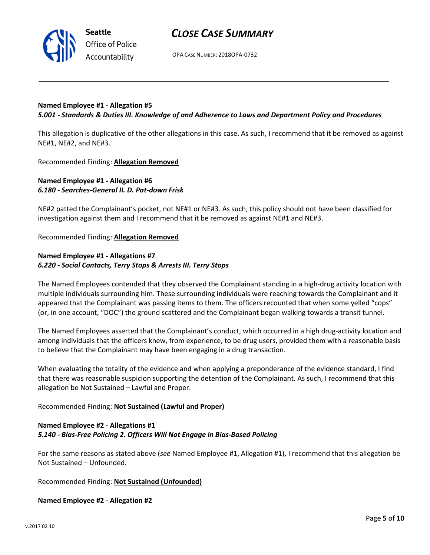



OPA CASE NUMBER: 2018OPA-0732

## Named Employee #1 - Allegation #5 5.001 - Standards & Duties III. Knowledge of and Adherence to Laws and Department Policy and Procedures

This allegation is duplicative of the other allegations in this case. As such, I recommend that it be removed as against NE#1, NE#2, and NE#3.

Recommended Finding: Allegation Removed

## Named Employee #1 - Allegation #6 6.180 - Searches-General II. D. Pat-down Frisk

NE#2 patted the Complainant's pocket, not NE#1 or NE#3. As such, this policy should not have been classified for investigation against them and I recommend that it be removed as against NE#1 and NE#3.

#### Recommended Finding: Allegation Removed

## Named Employee #1 - Allegations #7 6.220 - Social Contacts, Terry Stops & Arrests III. Terry Stops

The Named Employees contended that they observed the Complainant standing in a high-drug activity location with multiple individuals surrounding him. These surrounding individuals were reaching towards the Complainant and it appeared that the Complainant was passing items to them. The officers recounted that when some yelled "cops" (or, in one account, "DOC") the ground scattered and the Complainant began walking towards a transit tunnel.

The Named Employees asserted that the Complainant's conduct, which occurred in a high drug-activity location and among individuals that the officers knew, from experience, to be drug users, provided them with a reasonable basis to believe that the Complainant may have been engaging in a drug transaction.

When evaluating the totality of the evidence and when applying a preponderance of the evidence standard, I find that there was reasonable suspicion supporting the detention of the Complainant. As such, I recommend that this allegation be Not Sustained – Lawful and Proper.

## Recommended Finding: Not Sustained (Lawful and Proper)

## Named Employee #2 - Allegations #1 5.140 - Bias-Free Policing 2. Officers Will Not Engage in Bias-Based Policing

For the same reasons as stated above (see Named Employee #1, Allegation #1), I recommend that this allegation be Not Sustained – Unfounded.

Recommended Finding: Not Sustained (Unfounded)

#### Named Employee #2 - Allegation #2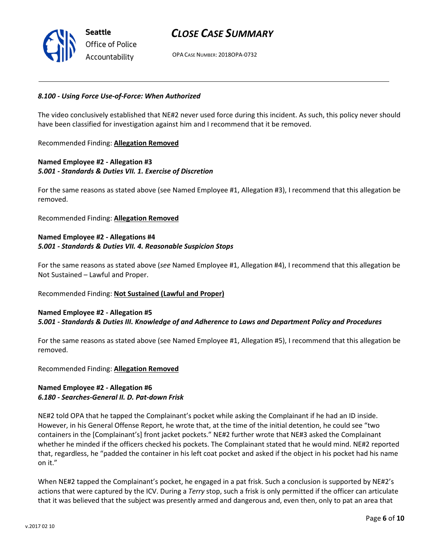OPA CASE NUMBER: 2018OPA-0732

#### 8.100 - Using Force Use-of-Force: When Authorized

The video conclusively established that NE#2 never used force during this incident. As such, this policy never should have been classified for investigation against him and I recommend that it be removed.

Recommended Finding: Allegation Removed

## Named Employee #2 - Allegation #3 5.001 - Standards & Duties VII. 1. Exercise of Discretion

For the same reasons as stated above (see Named Employee #1, Allegation #3), I recommend that this allegation be removed.

Recommended Finding: Allegation Removed

## Named Employee #2 - Allegations #4 5.001 - Standards & Duties VII. 4. Reasonable Suspicion Stops

For the same reasons as stated above (see Named Employee #1, Allegation #4), I recommend that this allegation be Not Sustained – Lawful and Proper.

## Recommended Finding: Not Sustained (Lawful and Proper)

### Named Employee #2 - Allegation #5 5.001 - Standards & Duties III. Knowledge of and Adherence to Laws and Department Policy and Procedures

For the same reasons as stated above (see Named Employee #1, Allegation #5), I recommend that this allegation be removed.

Recommended Finding: Allegation Removed

### Named Employee #2 - Allegation #6 6.180 - Searches-General II. D. Pat-down Frisk

NE#2 told OPA that he tapped the Complainant's pocket while asking the Complainant if he had an ID inside. However, in his General Offense Report, he wrote that, at the time of the initial detention, he could see "two containers in the [Complainant's] front jacket pockets." NE#2 further wrote that NE#3 asked the Complainant whether he minded if the officers checked his pockets. The Complainant stated that he would mind. NE#2 reported that, regardless, he "padded the container in his left coat pocket and asked if the object in his pocket had his name on it."

When NE#2 tapped the Complainant's pocket, he engaged in a pat frisk. Such a conclusion is supported by NE#2's actions that were captured by the ICV. During a Terry stop, such a frisk is only permitted if the officer can articulate that it was believed that the subject was presently armed and dangerous and, even then, only to pat an area that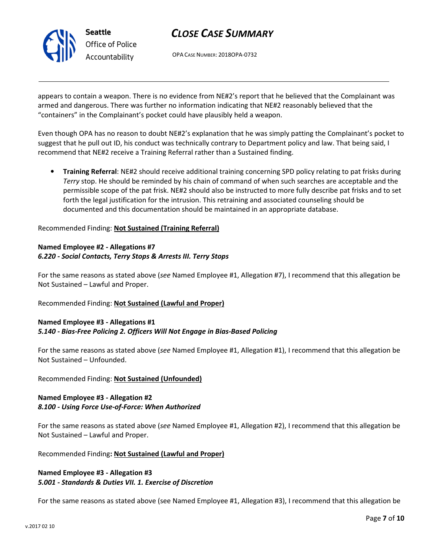

OPA CASE NUMBER: 2018OPA-0732

appears to contain a weapon. There is no evidence from NE#2's report that he believed that the Complainant was armed and dangerous. There was further no information indicating that NE#2 reasonably believed that the "containers" in the Complainant's pocket could have plausibly held a weapon.

Even though OPA has no reason to doubt NE#2's explanation that he was simply patting the Complainant's pocket to suggest that he pull out ID, his conduct was technically contrary to Department policy and law. That being said, I recommend that NE#2 receive a Training Referral rather than a Sustained finding.

• Training Referral: NE#2 should receive additional training concerning SPD policy relating to pat frisks during Terry stop. He should be reminded by his chain of command of when such searches are acceptable and the permissible scope of the pat frisk. NE#2 should also be instructed to more fully describe pat frisks and to set forth the legal justification for the intrusion. This retraining and associated counseling should be documented and this documentation should be maintained in an appropriate database.

Recommended Finding: Not Sustained (Training Referral)

### Named Employee #2 - Allegations #7 6.220 - Social Contacts, Terry Stops & Arrests III. Terry Stops

For the same reasons as stated above (see Named Employee #1, Allegation #7), I recommend that this allegation be Not Sustained – Lawful and Proper.

## Recommended Finding: Not Sustained (Lawful and Proper)

### Named Employee #3 - Allegations #1 5.140 - Bias-Free Policing 2. Officers Will Not Engage in Bias-Based Policing

For the same reasons as stated above (see Named Employee #1, Allegation #1), I recommend that this allegation be Not Sustained – Unfounded.

#### Recommended Finding: Not Sustained (Unfounded)

## Named Employee #3 - Allegation #2 8.100 - Using Force Use-of-Force: When Authorized

For the same reasons as stated above (see Named Employee #1, Allegation #2), I recommend that this allegation be Not Sustained – Lawful and Proper.

Recommended Finding: Not Sustained (Lawful and Proper)

## Named Employee #3 - Allegation #3 5.001 - Standards & Duties VII. 1. Exercise of Discretion

For the same reasons as stated above (see Named Employee #1, Allegation #3), I recommend that this allegation be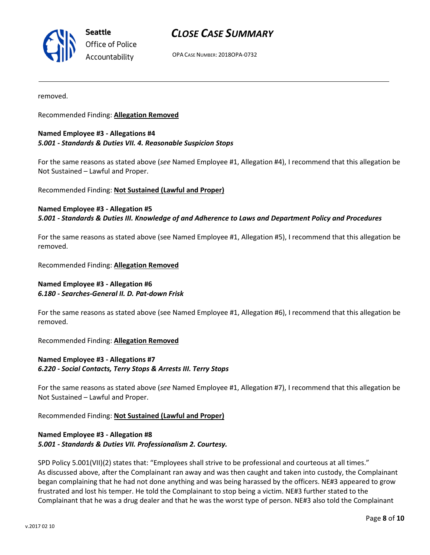

Seattle Office of Police Accountability

## CLOSE CASE SUMMARY

OPA CASE NUMBER: 2018OPA-0732

removed.

Recommended Finding: Allegation Removed

#### Named Employee #3 - Allegations #4 5.001 - Standards & Duties VII. 4. Reasonable Suspicion Stops

For the same reasons as stated above (see Named Employee #1, Allegation #4), I recommend that this allegation be Not Sustained – Lawful and Proper.

Recommended Finding: Not Sustained (Lawful and Proper)

Named Employee #3 - Allegation #5 5.001 - Standards & Duties III. Knowledge of and Adherence to Laws and Department Policy and Procedures

For the same reasons as stated above (see Named Employee #1, Allegation #5), I recommend that this allegation be removed.

Recommended Finding: Allegation Removed

### Named Employee #3 - Allegation #6 6.180 - Searches-General II. D. Pat-down Frisk

For the same reasons as stated above (see Named Employee #1, Allegation #6), I recommend that this allegation be removed.

Recommended Finding: Allegation Removed

### Named Employee #3 - Allegations #7 6.220 - Social Contacts, Terry Stops & Arrests III. Terry Stops

For the same reasons as stated above (see Named Employee #1, Allegation #7), I recommend that this allegation be Not Sustained – Lawful and Proper.

Recommended Finding: Not Sustained (Lawful and Proper)

### Named Employee #3 - Allegation #8 5.001 - Standards & Duties VII. Professionalism 2. Courtesy.

SPD Policy 5.001(VII)(2) states that: "Employees shall strive to be professional and courteous at all times." As discussed above, after the Complainant ran away and was then caught and taken into custody, the Complainant began complaining that he had not done anything and was being harassed by the officers. NE#3 appeared to grow frustrated and lost his temper. He told the Complainant to stop being a victim. NE#3 further stated to the Complainant that he was a drug dealer and that he was the worst type of person. NE#3 also told the Complainant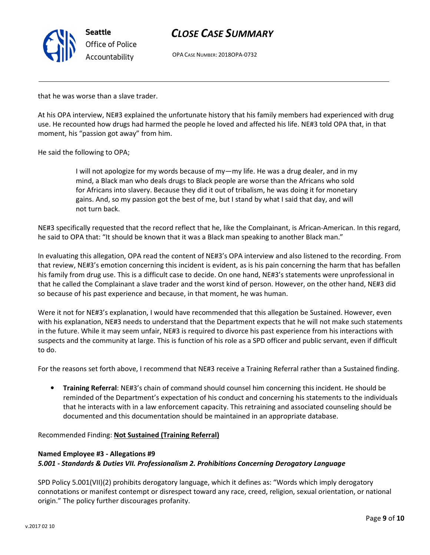

OPA CASE NUMBER: 2018OPA-0732

that he was worse than a slave trader.

At his OPA interview, NE#3 explained the unfortunate history that his family members had experienced with drug use. He recounted how drugs had harmed the people he loved and affected his life. NE#3 told OPA that, in that moment, his "passion got away" from him.

He said the following to OPA;

I will not apologize for my words because of my—my life. He was a drug dealer, and in my mind, a Black man who deals drugs to Black people are worse than the Africans who sold for Africans into slavery. Because they did it out of tribalism, he was doing it for monetary gains. And, so my passion got the best of me, but I stand by what I said that day, and will not turn back.

NE#3 specifically requested that the record reflect that he, like the Complainant, is African-American. In this regard, he said to OPA that: "It should be known that it was a Black man speaking to another Black man."

In evaluating this allegation, OPA read the content of NE#3's OPA interview and also listened to the recording. From that review, NE#3's emotion concerning this incident is evident, as is his pain concerning the harm that has befallen his family from drug use. This is a difficult case to decide. On one hand, NE#3's statements were unprofessional in that he called the Complainant a slave trader and the worst kind of person. However, on the other hand, NE#3 did so because of his past experience and because, in that moment, he was human.

Were it not for NE#3's explanation, I would have recommended that this allegation be Sustained. However, even with his explanation, NE#3 needs to understand that the Department expects that he will not make such statements in the future. While it may seem unfair, NE#3 is required to divorce his past experience from his interactions with suspects and the community at large. This is function of his role as a SPD officer and public servant, even if difficult to do.

For the reasons set forth above, I recommend that NE#3 receive a Training Referral rather than a Sustained finding.

• Training Referral: NE#3's chain of command should counsel him concerning this incident. He should be reminded of the Department's expectation of his conduct and concerning his statements to the individuals that he interacts with in a law enforcement capacity. This retraining and associated counseling should be documented and this documentation should be maintained in an appropriate database.

Recommended Finding: Not Sustained (Training Referral)

## Named Employee #3 - Allegations #9 5.001 - Standards & Duties VII. Professionalism 2. Prohibitions Concerning Derogatory Language

SPD Policy 5.001(VII)(2) prohibits derogatory language, which it defines as: "Words which imply derogatory connotations or manifest contempt or disrespect toward any race, creed, religion, sexual orientation, or national origin." The policy further discourages profanity.